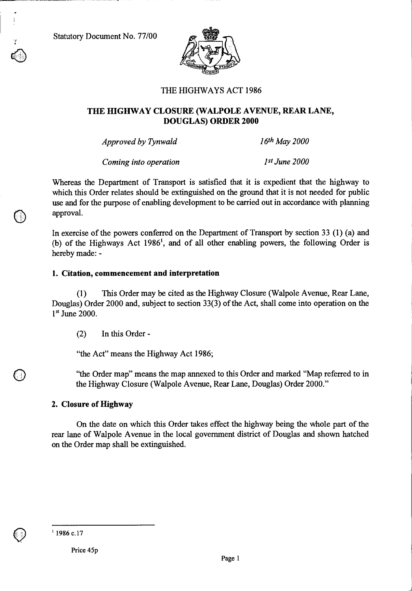Statutory Document No. 77/00



## THE HIGHWAYS ACT 1986

## **THE HIGHWAY CLOSURE (WALPOLE AVENUE, REAR LANE, DOUGLAS) ORDER 2000**

*Approved by Tynwald 16th May 2000* 

*Coming into operation 1st June 2000* 

Whereas the Department of Transport is satisfied that it is expedient that the highway to which this Order relates should be extinguished on the ground that it is not needed for public use and for the purpose of enabling development to be carried out in accordance with planning approval.

In exercise of the powers conferred on the Department of Transport by section 33 (1) (a) and (b) of the Highways Act 1986<sup>1</sup>, and of all other enabling powers, the following Order is hereby made: -

### **1. Citation, commencement and interpretation**

(1) This Order may be cited as the Highway Closure (Walpole Avenue, Rear Lane, Douglas) Order 2000 and, subject to section 33(3) of the Act, shall come into operation on the  $1<sup>st</sup>$  June 2000.

(2) In this Order -

"the Act" means the Highway Act 1986;

"the Order map" means the map annexed to this Order and marked "Map referred to in the Highway Closure (Walpole Avenue, Rear Lane, Douglas) Order 2000."

## **2. Closure of Highway**

On the date on which this Order takes effect the highway being the whole part of the rear lane of Walpole Avenue in the local government district of Douglas and shown hatched on the Order map shall be extinguished.

 $1986$  c.17

Price 45p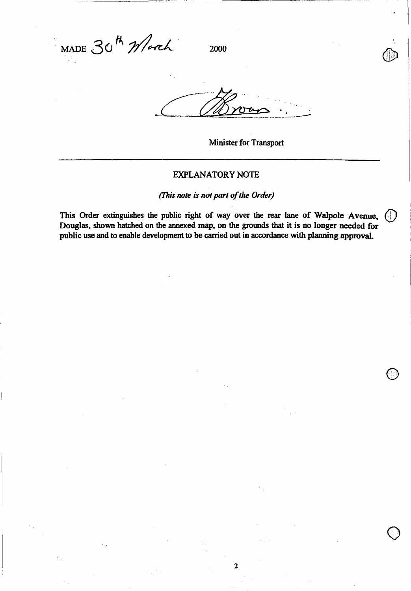$MADE$  30<sup>th</sup> *Mor*ch 2000

**Minister for Transport** 

 $|C|$ 

#### **EXPLANATORY NOTE**

*(This note is not part of the Order)* 

**This Order extinguishes the public right of way over the rear lane of Walpole Avenue, Douglas, shown hatched on the annexed map, on the grounds that it is no longer needed for public use and to enable development to be carried out in accordance with planning approval.** 

**2**